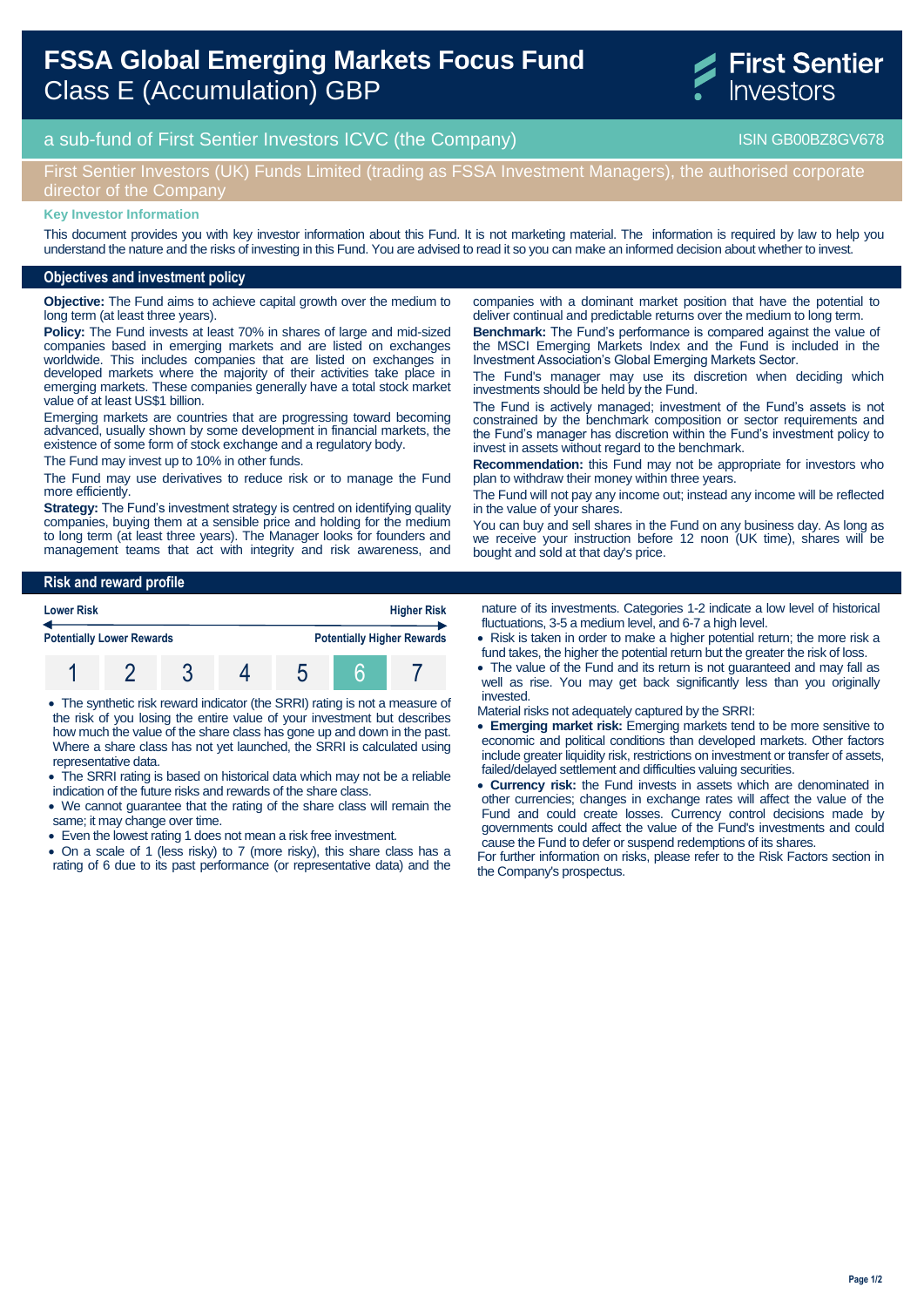# **FSSA Global Emerging Markets Focus Fund**  Class E (Accumulation) GBP



## a sub-fund of First Sentier Investors ICVC (the Company) and the Company ISIN GB00BZ8GV678

## First Sentier Investors (UK) Funds Limited (trading as FSSA Investment Managers), the authorised corporate director of the Company

#### **Key Investor Information**

This document provides you with key investor information about this Fund. It is not marketing material. The information is required by law to help you understand the nature and the risks of investing in this Fund. You are advised to read it so you can make an informed decision about whether to invest.

#### **Objectives and investment policy**

**Objective:** The Fund aims to achieve capital growth over the medium to long term (at least three years).

**Policy:** The Fund invests at least 70% in shares of large and mid-sized companies based in emerging markets and are listed on exchanges worldwide. This includes companies that are listed on exchanges in developed markets where the majority of their activities take place in emerging markets. These companies generally have a total stock market value of at least US\$1 billion.

Emerging markets are countries that are progressing toward becoming advanced, usually shown by some development in financial markets, the existence of some form of stock exchange and a regulatory body.

The Fund may invest up to 10% in other funds.

The Fund may use derivatives to reduce risk or to manage the Fund more efficiently.

**Strategy:** The Fund's investment strategy is centred on identifying quality companies, buying them at a sensible price and holding for the medium to long term (at least three years). The Manager looks for founders and management teams that act with integrity and risk awareness, and companies with a dominant market position that have the potential to deliver continual and predictable returns over the medium to long term. **Benchmark:** The Fund's performance is compared against the value of the MSCI Emerging Markets Index and the Fund is included in the Investment Association's Global Emerging Markets Sector.

The Fund's manager may use its discretion when deciding which investments should be held by the Fund.

The Fund is actively managed; investment of the Fund's assets is not constrained by the benchmark composition or sector requirements and the Fund's manager has discretion within the Fund's investment policy to invest in assets without regard to the benchmark.

**Recommendation:** this Fund may not be appropriate for investors who plan to withdraw their money within three years.

The Fund will not pay any income out; instead any income will be reflected in the value of your shares.

You can buy and sell shares in the Fund on any business day. As long as we receive your instruction before 12 noon (UK time), shares will be bought and sold at that day's price.

#### **Risk and reward profile**

| <b>Lower Risk</b><br><b>Potentially Lower Rewards</b> |  |  |  | <b>Higher Risk</b> |                                   |  |
|-------------------------------------------------------|--|--|--|--------------------|-----------------------------------|--|
|                                                       |  |  |  |                    | <b>Potentially Higher Rewards</b> |  |
|                                                       |  |  |  |                    |                                   |  |

 The synthetic risk reward indicator (the SRRI) rating is not a measure of the risk of you losing the entire value of your investment but describes how much the value of the share class has gone up and down in the past. Where a share class has not yet launched, the SRRI is calculated using representative data.

- The SRRI rating is based on historical data which may not be a reliable indication of the future risks and rewards of the share class.
- We cannot guarantee that the rating of the share class will remain the same; it may change over time.
- Even the lowest rating 1 does not mean a risk free investment.
- On a scale of 1 (less risky) to 7 (more risky), this share class has a rating of 6 due to its past performance (or representative data) and the

nature of its investments. Categories 1-2 indicate a low level of historical fluctuations, 3-5 a medium level, and 6-7 a high level.

- Risk is taken in order to make a higher potential return; the more risk a fund takes, the higher the potential return but the greater the risk of loss.
- The value of the Fund and its return is not guaranteed and may fall as well as rise. You may get back significantly less than you originally invested.
- Material risks not adequately captured by the SRRI:
- **Emerging market risk:** Emerging markets tend to be more sensitive to economic and political conditions than developed markets. Other factors include greater liquidity risk, restrictions on investment or transfer of assets, failed/delayed settlement and difficulties valuing securities.
- **Currency risk:** the Fund invests in assets which are denominated in other currencies; changes in exchange rates will affect the value of the Fund and could create losses. Currency control decisions made by governments could affect the value of the Fund's investments and could cause the Fund to defer or suspend redemptions of its shares.

For further information on risks, please refer to the Risk Factors section in the Company's prospectus.